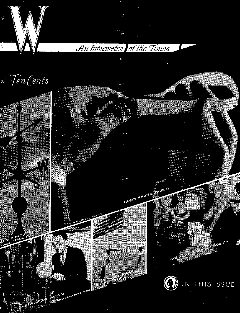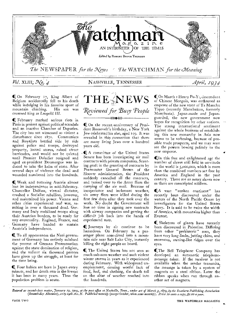

**I** On February 17, King Albert of Belgium accidentally fell to his death while indulging in his favorite sport of mountain climbing. His son was crowned king as Leopold HI.

**C.** February marked serious riots in Paris in protest against political scandals and an inactive Chamber of Deputies. The city has not witnessed so violent a disturbance since 1871. Communists and Royalists battled side by side against police and troops, destroyed property, looted stores, raised street barricades, and would not be quieted until Premier Daladier resigned and aged ex-president Doumergue was induced to take the helm of state. After several days of violence the dead and wounded numbered into the hundreds.

II Weak and tottering Austria almost lost its independence in mid-February. Chancellor Dolfuss, virtual dictator, crushed a Socialist rebellion, however, and maintained his power. Vienna and other *cities* experienced real war, resulting in over a thousand dead. Germany and Italy mobilized troops along their Austrian borders, to be ready for any eventuality. England, France, and Germany have banded to sustain Austria's independence.

C To all appearances the Nazi government of Germany has entirely subdued the protest of German Protestantism against the state domination of religion, and the valiant six thousand pastors have given up the struggle, at least for the time being.

C Four babies are born in Japan every minute, and her death rate is the lowest it has been in many years. Thus the population problem is acute.



C On the recent-anniversary of President Roosevelt's birthday, a New York Jew celebrated his also, aged 109. It was revealed in this connection that there are many living Jews over a hundred years old.

(A committee of the United States Senate has been investigating air mail contracts with private companies. Scenting graft in the granting of contracts by Postmaster General Brown of the *Hoover administration,* the *President*  suddenly cancelled all the contracts, and turned over to the Army fliers the carrying of the air mail. Because of inexperience and inclement weather, six army fliers were killed during the first few days after they took over the work. No doubt the Government will lose no time in signing new contracts with airway companies and getting the difficult job back into the hands of experienced men.

C Journeys by air continue to be hazardous. On February 24 a passenger plane nose-dived into a mountain side near Salt Lake City, instantly killing the eight people on board.

C, The United States has not seen so much sub-zero weather and such violent winter storms in years as it experienced during February. With widespread unemployment, causing woeful lack of food, fuel, and clothing, the death toll on the altar of weather reached into the hundreds.

 $\mathbb Q$  On March 1 Henry Pu-Y<sub>1</sub>, descendant of Chinese Mongols, was enthroned as emperor of the new state of Ta Manchu Tiquo (recently Manchukuo, formerly Manchuria). *Japan-made and Japan*guarded, the new government now hopes for recognition by other nations. The strong international sentiment against the whole business of establishing this new monarchy in Asia now seems to be softening, because of possible trade prospects, and we may soon see the powers bowing politely to the new emperor.

(In this free and enlightened agc the number of slaves still held in servitude in the world is  $5,000,000$ , which is more than the combined numbers set free by America and England in the past century. There are as many slaves now as there are conscripted soldiers.

CA vast "sunken continent" has recently been discovered under the waters of the North Pacific Ocean by investigators for the United States Navy. It is said to be twice the width of America, with mountains higher than Everest.

Skeletons of giants have recently been discovered in Palestine. Differing from other "prehistoric" men, they have very long limbs, jutting chins, and enormous, awning-like ridges over the eyes.

(The Bell Telephone Company has developed an automatic telephonemessage taker. If the receiver is not available when the sender transmits, the message is taken by a system of magnets on a steel ribbon. Later the ribbon speaks when run through another set of magnets.

*Entered as second-class matter, 7anuary 19, 1909, at the post office at Nashville, Tenn., under act of March 3,1879, by the Southern Publishing Association (Seventh-day Adventist), 2119 oetth Ave. N. Published monthly (except October, when semi-monthly). Price so cents a copy, \$1.00 a year.*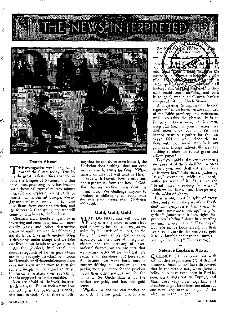

#### Death Ahead

**THE average observer looks gloomily**<br>toward the future today. One by<br>one the great nations either abandon or HE average observer looksgloomily one the great nations either abandon or flout the League of Nations, and that once peace-promising body has become but a rhetorical expression. Any minute a terrific war explosion could easily be touched off in central Europe. Russo-Japanese relations are about to burst into flame from constant friction, and the forecast is that spring and war will come hand in hand to the Far East.

Chemists show fiendish ingenuity in inventing and concocting new and more deadly gases and other destructive means to annihilate men. Machines and speedy travel have made modern living a dangerous undertaking; and we take our lives in our hands as we go abroad.

All the physical, intellectual and moral safeguards of former generations are being savagely attacked by vicious intellectuals, until the credulous populace does not know which way to turn for some principle or individual to trust. Confusion is written over everything that is supposed to be dependable.

Men are afraid of life itself, because death is ahead. But at such a time how comforting is the peace and security of a faith in God. When there is nothing that he can do to save himself, the Christian does nothing—does not even worry—and he trusts his God. "What time I am afraid, I will trust in Thee," he says with David. Even death cannot separate us from the love of God. For the resurrection from death is ahead also. We challenge anyone to produce a philosophy of living that fits this time better than Christian philosophy.

#### Gold, Gold, Gold

 $\mathbf{W}^{\text{E}}$  DO NOT, and will not, see<br>any of it any more, in coins; but gold is coming into the country, as we write, by hundreds of millions, to the limit of every ship's gold-carrying capacity. In the maze of foreign exchange and the intricacy of international finance, we are not sure that we are any better off for having it here rather than elsewhere; but here it is. All because we went back onto a queerly shifting gold standard and are paying more per ounce for the precious metal than other nations are, for the moment. So Uncle Sam is in the market for gold, and how the gold comes!

Whether or not we can pocket or bank it, it is *our* gold. For it is in

iding t **Properties** States Co

pile. INs bein Created Egether in larger quantibigs than ever selore in all. history. Ancient king Midas, who, they said, could touch anything and turn it to gold, was a small-town banker compared with our Uncle Samuel.

And, quoting the expression, "heaped together," as we have, we are reminded of the Bible prophecy and indictment which contains the phrase. It is in James 5. "Go to now, ye rich men, weep and howl for your miseries that shall come upon you. . . . Ye have heaped treasure together for the last days." Did the seer include rich na-Bons with rich men? And is it *our*  gold, even though individually we have nothing to show for it but green and yellow paper?

Yes "your gold and silver is cankered; and the rust of them shall be a witness against you, and shall eat your flesh as it were fire." Idle riches, gathering "rust," corroding, while the needy suffer for want of it. It is like the "bread lines knee-deep in wheat," which we had last winter. Dire poverty in the midst of plenty.

It is strange, but in spite of every effort and plan on the part of our President and sympathetic lawmakers, the treasure continues to pile up," heap together." James said it just right. His prophecy is being fulfilled in a startling manner. These are the "last days." Our sole escape from having our flesh eaten as it were fire by treasured gold is to be humble and patient "unto the coming of our Lord." (James 5: 1-9.)

#### Science Explains Again

SCIENCE (?) has come out with<br>another explanation (?) of Biblical CIENCE (?) has come out with miracles. Astronomers'have discovered that in the year  $\zeta$  B.C., when Jesus is believed to have been born in Bethlehem, the planets Saturn, Jupiter, and Mars were very close together, and therefore might have been mistaken for one very large star which guided the wise men to the manger.

 $\mathcal{I}$  .

¢.

مبر<br>سبارو

Ø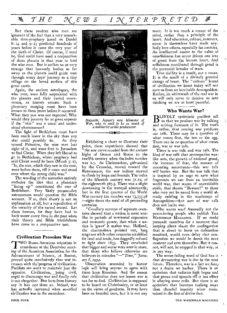But these modern wise men are ignorant of the fact that a very remarkable time-prophecy based on Daniel 8:14 and 9:25 predicted hundreds of years before it came the very year of the birth of Christ. Of course, if need be, God could have used a conjunction of these planets in that year to lead the wise men. But it strikes us as very strange that heavenly bodies so far away as the planets could guide men through many days' journey to a tiny village on the broad surface *of* this great earth.

Again, the ancient astrologers, the wise men, were fully acquainted with the planets and their varied movements, as" history attests. Such a planetary merging must have been known *to* them years before it occurred. What they saw was not expected. Why would they journey far at great expense if the "star" was a usual and understood phenomenon?

The light of Bethlehem must have been much lower in the sky than any<br>star could possibly be. As they star could possibly be. neared Palestine, the wise men lost sight of it, and went first to Jerusalem to find Christ. When they left Herod to go to Bethlehem, where prophecy had said Christ would be born (Micah  $5: 2$ ), "lo, the star, which they saw in the east, went before them, till it came and stood over where the young child was.'

The wording of the narrative entirely excludes the idea that a planetary "lining up" *constituted* the star *of*  Bethlehem. Very likely present-day astronomers would question the Bible account. If so, their theory is not an explanation at all, but a repudiation of the veracity of the sacred record. Let them beware, for they have had to back *water every time* in the past when their theory and Bible truthfulness have come to a comparative test.

#### Civilization Provokes War

**TWO Russo-American scientists in**<br>TWO Russo-American scientists in<br>tendance at the December meet-<br>ing of the American Association for the WO Russo-American scientists in ing of the American Association for the Advancement of Science, at Boston, proved quite conclusively that war increases with the'progress of civilization. Pacifists are wont to maintain just the opposite. Civilization, being civil, *ought* to discourage war and *finally* rule it out altogether. -But facts from history say it has not 'done so. Indeed, war has actually increased when so-called civilization was in the ascendant.



*Hayashi, Japan's new Minister of War, who is said to be as much of a militarist as his predecessor.*  ⇢ঌ●⋘

Exhibiting a chart to illustrate their point, these expatriates showed that "the war curve receded from the ancient highs of Greece and Rome to the twelfth century when the index number was 2.7. As Christendom, galvanized by the Crusades, moved toward the Renaissance, the war indices started to climb by leaps and bounds. The index of the fifteenth century was 31.12, of the eighteenth 567.5. There was a slight downswing in the tranquil nineteenth; but in the first quarter of the World War century the number was 13,735.98 —eight times the total of all preceeding centuries.

"Corollary surveys of separate countries showed that a nation is most warlike in periods of territorial expansion and economic power, that when a nation is 'great' it makes war. Holland, the chartmakers pointed out, long stagnant while other countries scrabbled for land and trade, has doggedly refused to fight since 1833. They concluded that bigger and worse wars were in *store,*  that those who believe otherwise are believers in miracles."—" *Time," January 8, 1934.* 

Observation seconded by honest logic will bring anyone to agree with these keen Russians. And the reason that civilization does not lessen war is not far to find. Civilization is supposed to be based on Christianity, or at least on the virtue of goodness. It may have been so founded once, but it is not any

more. It is too much a veneer of the mind, rather than a principle of the heart. And education, culture, manners, never in themselves have made anybody love others, especially his enemies. -*An* intellectual assent to the value of unselfishness has never driven one iota of greed from the human heart. And selfishness manifested through greed is the perennial breeder of wars.

True civility is a result, not a cause. It is the result of a divinely granted change of heart. The "culture" brand of civilization we boast today will not save us from an inevitable Armageddon. Rather, its whitewash of the real war in us will only serve to deceive us into thinking we are at least peaceful.

#### Who Wants War?

 $B_{\text{us that we produce war by talking}}$ LINDLY optimistic pacifists tell and writing forecasts of it. The truth is, rather, that coming war produces our talk. There may be a question of what comes first, the hen or the egg. There can be no question of what comes first, war or war talk.

There is war talk and war talk. The kind of war talk that accompanies warlike acts, the growth of national greed, the increase of fear, the menace of mounting armaments—this war talk will hasten war. But the war talk that is inspired by an urge to save what fragments we can from an inevitable world war, that warns of unavoidable strife, that shouts "Beware!" *to* those who may yet be saved from a world already swirling in the maelstrom of Armageddon-that sort of war talk does not incite war.

Who wants war? Assuredly not the peace-loving people who publish THE *WATCHMAN MAGAZINE. If we* could persuade ourselves for a moment that keeping silent about the conflagration that is about to burst on defenseless mankind, would even delay that conflagration we would be dumb the next moment and ever thereafter. But it cannot, will *not,* be stopped in that way, or in any way.

The never-failing word of God has it  $\cdot$ that devastating war is due in the near future. Therefore, war is a fact we face, not a desire we harbor. There is an optimism that radiates high hopes and that grows and spreads till it has effect in allaying some evils. But there is an optimism that becomes nothing more than cheerful insanity when maintained in the face of divine fact.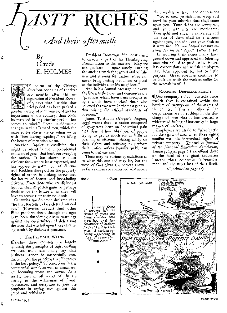

## By **Claude** E. HOLMES

HE editor of the Chicago *American,* speaking of the first two months after the inauguration of President Roosevelt, says that "within that brief period has been packed a greater variety of occurrences, of greater importance to the country, than could be matched in any similar period that comes to mind." These kaleidoscopic changes in the affairs of men, which the same editor states are crowding on us with "bewildering rapidity," are filling the hearts of men with alarm.

 $\prec$ 

 $\leq$ 

Ý

迁

¢.

Á.

 $\hat{\mathcal{X}}$ 

ថ្ម

Another disquieting condition that might be added is the unprecedented epidemic of greed that has been sweeping the nation. It has shown its most virulent form where least expected, and has apparently gotten out of all control. Reckless disregard for the property rights of others is striking terror into the hearts of honest and law-abiding citizens. Even those who are dishonest fear for their ill-gotten gains or perhaps shudder for the future when they will have to account for their evil deeds.

Centuries ago Solomon declared that "he that hasteth to be rich hath an evil eye." (Proverbs 28: 22.) And other Bible prophets down through the ages have been thundering divine warnings against the deceitfulness of riches and the woes that will fall upon those obtaining wealth by dishonest practices.

#### THE PRESIDENT WARNS

(Today these counsels are largely ignored; the principles of right dealing are cast aside and many say that business cannot be successfully conducted upon the principle that "honesty is the best policy." So conditions in the commercial world, as well as elsewhere, are becoming worse and-worse. As a result, men in all walks of life are arising in the wilderness of fraud, oppression, and deception to join the prophets in crying out against this greed and selfishness.

President Roosevelt felt constrained to devote a part of his Thanksgiving Proclamation to this matter: "May we ask guidance in more surely learning the ancient truth that greed and selfishness and striving for undue riches can never bring lasting happiness or good to the individual or his neighbors."

And in his Annual Message he draws the line a little closer and denounces the "practices which have been brought to light which have shocked those who believed that we were in the past generation raising the ethical standards of business."

James T. Adams *(Harper's,* August, 1933) warns that "a nation composed of go-getters bent on individual gain regardless of how obtained, of people trying to get as much for as little as possible, of citizens insisting solely on their rights and refusing to perform their duties unless heavily paid, can come to but *one end."* 

There may be various speculations as to what this one end may be, but the word of God gives the correct answer, so far as those are concerned who secure

their wealth by fraud and oppression:

"Go to now, ye rich men, weep and howl for your miseries that shall come upon you. Your riches are corrupted, and your garments are motheaten. Your gold and silver is cankered; and the rust of them shall be a witness against you, and shall eat your flesh as it were fire. *Ye have heaped treasure together for the last days."* James 5: 1-3.

In securing their riches many have ground down and oppressed the laboring men who helped to produce it. Heartless corporations and selfish employers have been appealed to, but to little purpose. Great fortunes continue to be built up, while the workers suffer for the necessities of life.

#### ECONOMIC DISFRANCHISEMENT

(One company today "controls more wealth than is contained within the borders of twenty-one of the states of the country." This and other similar corporations are so ruthless in the discharge of men that it has created a widespread feeling of insecurity in large masses of workers.

Employees are afraid to "give battle for the rights of man when those rights conflict with the intrenched 'rights' of private property." (Quoted in *Journal of the National Education Association,*  January, 1934, page 2.) To offend those at the head of the giant industries "means their economic disfranchisement and the utter loss of their liveli-

*(Continued on page tr)* 



PAGE FIVE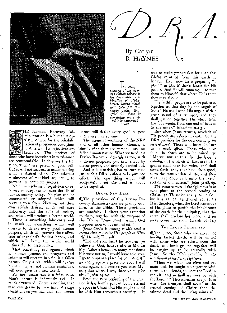

HE National Recovery Administration is a humanly devised scheme for the rehabilitation of prosperous conditions in America. Its objectives are laudable. The motives of those who have brought it into existence are commendable. It deserves the full support of every person of good will. But it will not succeed in accomplishing what is desired of it. The inherent weaknesses of mankind are bound to prevent its complete success.

No human scheme of regulation or recovery is adequate to cure the ills of human society today. No plan can be constructed or adopted which will prevent men from following out their own selfish desires, which will cure dishonesty and the evils of society, and which will produce a better world.

There *is something inherently* evil in mankind, something which will operate to defeat every good human purpose, which will prevent the realization of mankind's fondest hopes, and which will bring the whole world ultimately to destruction.

That something evil against which all human systems and programs and schemes will operate in vain, is a fallen nature. Only a plan which will change human *nature,* not human *conditions,*  will ever give us a new world.

For the human race is a fallen *race.*  Man's nature is inherently evil. It tends downward. There is nothing that man *can* devise to cure this. Arrange conditions as you will, and still human

nature will defeat every good purpose and every fine scheme.

The essential *weakness of* the NRA and of all other human schemes, is simply that they are human; based on fallen human nature. What we need is a Divine Recovery Administration, with a divine program, put into effect by divine power, and divinely carried out.

And it is a satisfaction to learn that just such a DRA is about to be put into effect. The one thing which will adequately meet the need is about to be supplied.

#### DIVINE NEW DEAL

((The provisions of this Divine Recovery Administration are plainly outlined in the Bible. These *provisions*  are ninefold. I direct your attention to them, together with the purpose of the Divine "New Deal" which God purposes soon to put into effect.

*Yesus Christ is coning to this earth a second time to receive His people to Himself.* He said Himself:

"Let not your heart be troubled: ye believe in God, believe also in Me. In My Father's house are many mansions: if it were not so, I would have told you. I go to prepare a place for you. And if I go and prepare a place for you, I will come again, and receive you unto Myself; that where I am, there ye may be also." John 14:1-3.

From the very beginning of the creation it has been a part of God's eternal purpose in Christ that His people should be with Him throughout eternity. It

## By Carlyle B. HAYNES

*le chief concern of the average citizen relates to the• particular combination of alpha-betical letters which will help fill that empty pocket. But, after all, there is something more vital to be concerned about.* 

was to make preparation for that that Christ returned from this earth to heaven. Even now He is preparing "a place" in His Father's house for His people. And He will come again to take them to Himself, that where He is there they may also be.

His faithful people are to be gathered together at that day by the angels of God: "He shall send His angels with a great sound of a trumpet, and they shall gather together His elect from the four winds, from one end of heaven to the other." Matthew 24: 31.

But when Jesus returns, myriads of His people are asleep in death. So the DRA provides for the *resurrection of the blessed dead.* Those who have died are to be made alive. Those who have fallen in death are to be raised up: "Marvel not at this: for the hour is coming, in the which all that are in the graves shall hear His voice, and shall come forth; they that have done good, unto the resurrection of life; and they that have done evil, unto the resurrection of damnation." John 5: 28, 29.

This resurrection of the righteous is to take place at the second coming of Christ. *(r Thessalonians 4: 16;* z Corinthians 15: 22, 23; Daniel 12: I, 2.) It is, therefore, when the Lord comes out of His place to punish the inhabitants of the earth for their iniquity, that the earth shall disclose her blood and no more cover her slain. (Isaiah 26: 21.)

#### THE LIVING TRANSLATED

((Then, too, those who are alive, not having tasted death, will be united with those who are raised from the dead, and both groups together will be caught up to be eternally with Jesus. So the DRA provides for *the translation of the living righteous.* 

"Then we which are alive and *remain* shall be caught up together with them in the clouds, to meet the Lord in the air: and so shall we ever be with the Lord." I Thessalonians 4:17. It is when the trumpet shall sound at the second coming of Christ that the sainted dead and the living saints will

 $\sum_{i=1}^{n}$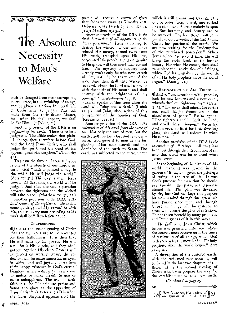St 23 Re 23 Re 23 Re 23 Re 23 Re

# The Absolute **Necessity** to Man's Welfare

both be changed from their corruptible, mortal state, in the twinkling of an eye, and be given a glorious immortal life. (I Corinthians 15:51-53.) This will make them like their divine Master, for "when He shall appear, we shall be like Him." (1 John  $3:2$ .)

ర్

空

ę.

浜

學

Another provision of the DRA is *the judgment of the world,* There is to be a judgment. The Bible makes that plain: "I charge thee therefore before God, and the Lord Jesus Christ, who shall judge the quick and the dead at His appearing and His kingdom." a Timothy 4: 1.

To sit on the throne of eternal justice is one of the objects of our Lord's return. God "hath appointed a day, in the which He will judge the world." (Acts 17:31.) This day is when Jesus comes. At that time the world will be judged. And then the final separation between the righteous and the wicked will take place. (Matthew 25: 31, 32.)

Another provision of the DRA is *the final reward of the righteous. "Behold,* I come quickly; and My reward is with Me, to give every man according as his work shall be." Revelation 22: 12.

#### **COMPENSATION**

It is at the second coming of Christ that the righteous are to be rewarded for their faithfulness. It is then that He will make up His jewels. He will send forth His angels, and they shall gather together His elect. Crowns will be placed on worthy brows; the redeemed will be made immortal, arrayed in white, and will joyfully enter into their happy existence in God's eternal kingdom, where nothing can ever come to molest or make afraid, to mar or cause unhappiness. The trial of their faith is to be "found unto praise and honor and glory at the appearing of Jesus Christ."  $(I$  Peter  $I: 7$ .) It is when the Chief Shepherd appears that His

people will receive a crown of glory that fades not away.  $(2.$  Timothy  $4:8;$ Hebrews 9:28; Isaiah 25:8, 9; Daniel 7: 27; Matthew 25: 34.)

Another provision of the DRA is *the final destruction of all opponents of the divine government.* Jesus is coming to destroy the wicked. Those who have refused His mercy, turned away from His truth, trampled upon His law, persecuted His people, and done despite to His grace, will then meet their eternal fate. "The mystery of iniquity doth already work: only he who now letteth will let, until he be taken out of the way. And then shall that Wicked be revealed, whom the Lord shall consume with the spirit of His mouth, and shall destroy with the brightness of His coming." 2 Thessalonians 2: 7, 8.

Isaiah speaks of 'this time when the Lord will "slay the wicked." (Isaiah 11:4.) And John, also, writes of this punishment of the enemies of God. (Revelation 11: 18.)

Another provision of the DRA is *the redemption of this earth from the curse of sin.* Not only the race of men, but the earth itself has been lost and is under a curse. God gave it to man at the beginning. Man sold himself and his dominion of the earth to Satan. The earth was subjected to the curse, under



which it still groans and travails. It is out of order, torn, tossed, and racked like a sick man. A great malady is upon it. But harmony and beauty are to be restored. The last Adam will completely undo the works of the first Adam. Christ has purchased the earth. We are now waiting for the "redemption of the purchased possession." When Jesus comes the second time, He will bring the earth back to its former beauty. For when He comes, then shall take place the "restitution of all things,. which God hath spoken by the mouth. of all His holy prophets since the worldl began." (Acts 3: 21.)

RESTORATION OF ALL THINGS And so "we, according to His promise, look for new heavens and a new earth, wherein dwelleth righteousness." 2 Peter 3: 13. "The meek shall inherit the earth; and shall delight themselves in the abundance of peace." Psalm 37: II. "The righteous shall inherit the land, and dwell therein forever." Verse 29. And in order to fit it for their dwelling place, the Lord will redeem it when He comes,

Another provision of the DRA is *the restoration of all things.* All that has been lost through the introduction of sin into this world will be restored when Jesus comes.

At the beginning of the history of this world, mankind was placed in the garden of Eden, and given the privilegeof eating of the tree of life. It was God's purpose for man that he should ever remain in, this paradise and possess eternal life. This plan was thwarted by sin, but God has kept this purpose for man in mind through the ages which have passed since then, and through Christ all things will be restored to those who accept the plan of salvation. This has been foretold by many prophets, and Peter speaks of it in this way:

"He shall send Jesus Christ, which before was preached unto you: whom the heaven must receive until the times of restitution of all things, which God hath spoken by the mouth of all His holy prophets since the world began." Acts 3: 20, 21.

A description of the restored earth, with the redeemed race upon it, will be found in the last two chapters of the Bible. It is the second coming of Christ which will prepare the way for the establishment of this new earth,

*(Continued on page lo)* 

external the sculptor's ideal of **i**p  $\bigotimes$  **i** *Here is the sculptor's ideal of* **i**p  $\bigotimes$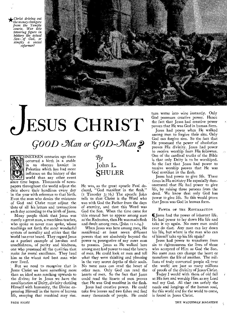*.Christ driving out ^ the money changers from the Temple courts. Was this towering figure in history the actual Sons. of God, or simply a social reformer?* 



# **JESUS CHRIST**

# GOOD Man or GOD-Man ?



INETEEN centuries ago there occurred a birth in a stable in an obscure hamlet in Palestine which has had more influence on the history of the world than any other event since time began. Thousands of newspapers throughout the world adjust the date above their headlines every day *in* the year with reference to that birth. Even the man who denies the existence of God and Christ must adjust the 'date of all his letters and transactions each day according to the birth of Jesus.

Many people think that Jesus was merely a great man, a matchless teacher, who spoke as never man spoke, whose teachings set forth the most wonderful system of morality and ethics that the World has ever heard. They regard Jesus as a perfect example of heroism and unselfishness, of purity and kindness, one who possessed all the qualities that make for moral excellence. They laud him as the wisest and best man who ever lived.

But we need to recognize that in Jesus Christ we have something more than an ideal man reaching upwards to the divine; for in Jesus we have the manifestation of Deity, divinity clothing Himself with humanity, the Divine expressing Himself in the terms of human life, stooping that mankind may rise.

## $\mathcal{B}y$ John L. **SHULER**

He was, as the great apostle Paul declared, "God manifest in the flesh." (1 Timothy 3: 16.) The apostle John tells us that Christ is the Word who was with God the Father from the days of eternity, and that this Word was God the Son. When the time came for this eternal Son to appear among men as"the Redeemer, then He was made flesh and dwelt among men. (John I: 1-14.)

When Jesus was here among men, He manifested -at least seven different powers that are absolutely beyond the power or prerogative of any mere man to possess. Jesus as He walked here among men had power to read the hearts of men. He could look at men and tell what they were thinking and planning in the very secret depths of their souls. No mere man can read the heart of other men. Only God can read the hearts of men. So the fact that Jesus could read the hearts of men proves that He was God manifest in the flesh.

Jesus had creative power. He could take five loaves and two fishes and feed many thousands of people. He could turn water into wine instantly. Only God possesses creative power. Hence the fact that Jesus had creative power proves that He was God in human form.

Jesus had power when He walked among men to forgive their sins. Only God can forgive sins. So the fact that He possessed the power of absolution proves His divinity. Jesus had power to receive worship from His followers. One of the cardinal truths of the Bible is that only Deity is to be worshiped. So the fact that Jesus had power to receive worship proves that He was God manifest in the flesh.

Jesus had power to give life. Three times in His ministry He especially demonstrated that He had power to give life, by raising three persons from the dead. We know that only God has power to give life. So this would prove that Jesus was God in human form.

#### POWER OF THE RESURRECTION

(Jesus had the power of inherent life. He had power to lay down His life and take it up again. No mere man could ever do that. Any man can lay down his life, but where is the man who can of himself take up his life again?

Jesus had power to transform from sin to righteousness the lives of those who accepted of Him as God the Son. No mere man can change the heart or *transform* the life *of* another. The millions of truly converted people all over the world are just so many millions of proofs of the divinity of Jesus Christ.

Today I would with them of old fall at His feet and worship Him as my Lord and my God. All that can satisfy the needs and *longings of* the human soul, for this world and for the world to come, is found in Jesus Christ.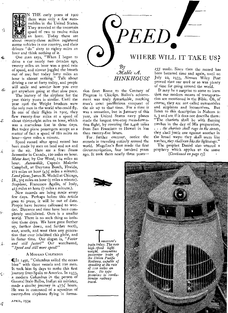Ñ

4S-

 $\hat{\Sigma}$ 

Æ.

 $\Delta$ 

N THE early years of 1900 there were only a few automobiles in the United States. They traveled at the uncertain speed of two to twelve miles an hour. Today there are about twenty-three million registered motor vehicles in our country, and their drivers "do" sixty to eighty miles an hour and think nothing of it.

One man says, "When I began to drive a car nearly two decades ago, twenty miles an hour was a good rate of speed, and almost joggled the breath out of me; but today forty miles an hour is almost nothing." Talk about driving a car at forty today, and people will smile and wonder how you ever get anywhere going at that slow pace.

The history of the airplane for the past thirty years is similar. Until the year 1906 the Wright brothers were the only men in the world who could fly. In one of their flights in 1905, they flew twenty-four miles at a speed of about thirty-eight miles an hour, which was a marvelous feat in those days. But today plane passengers accept as a matter of fact a speed of 18o miles an hour—three miles a minute.

Speed record after speed record has been made by men on land and sea and in the air. Here are a few: *Steam locomotive* in Canada, 120 miles an hour. *Motor boat,* by Gar Wood, 124 miles an hour. *Automobile,* Captain Malcolm Campbell, at Daytona Beach, Florida,  $272$  miles an hour  $\left(4\frac{1}{2}\right)$  miles a minute). *Land plane,* James R. Wedell at Chicago, Ill., 305 miles an hour (5 miles a minute). *Seaplane,* Francesco Agello, of Italy, 423 miles an hour (7 miles a minute.).

New records are being made every few days. Perhaps before this article goes to press, it will be out of date. People have become calloused to wonder. Distance and time have been completely annihilated. Ours is a smaller world. There is no such thing as isolation these days. We have gone farther up, farther down, and farther north, east, south, and west than any generation that ever inhabited this globe, and in faster time. Our slogan is, *"Faster and still faster!"* Our watchword, *"Speed and still more speed!"* 

#### A MODERN COLUMBUS

4LIn 1492, "Columbus sailed the ocean blue" with three vessels and 120 men. It took him 69 days to make this first journey from Spain to America. In 1933, a modern Columbus in the person of General Italo Balbo, Italian air minister, made a similar journey in  $47\frac{1}{2}$  hours. He was in command of a squadron of twenty-five airplanes flying in forma-



tion from Rome to the Century of Progress in Chicago. Balbo's achievement was truly remarkable, marking man's most pretentious conquest of the air up to that time. For a time it was a sensation, but in January of this year, six United States navy planes made the longest non-stop mass-formation flight, by covering the 2,408 miles from San Francisco to Hawaii in less than twenty-five hours.

For further contrast, notice the records in traveling entirely around the world. Magellan's fleet made the first circumnavigation, four hundred years ago. It took them nearly three yearsbeen bettered time and again, until on July 22, 1933, Airman Wiley Post proved that *one week* or so was plenty of time for going around the world.

It may be a surprise to some to learn that our modern means of transportation are mentioned in the Bible. Oh, of course, they are not called automobiles and airplanes and locomotives. But listen to this description in Nahum 2: 2, 3 and see if it does not describe them: "The chariots shall be with flaming torches in the day of His preparation, . . . *the chariots shall rage in the streets,*  they shall jostle one against another in the broad ways: they shall seem like torches, *they shall run like the lightnings."* 

The prophet Daniel also uttered a prophecy which applies to the same *(Continued on page .15)* 



T*°morrow's train today. The new high-speed lightweight, streamline passenger train of the Union Pacific Railway, capable of speeding at the rate of no miles an hour. Its type promises to revolutionize railway travel.* 

APRIL, 1934

žŽ.

ζ.

是.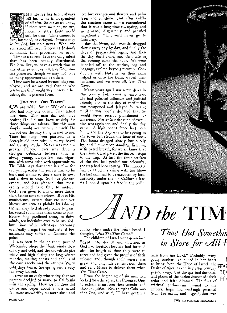

 IME always has been, always will be. Time is independent of all else. So far *as we know,*  if there were no man, no sun, moon, or stars, there would still be time. Time cannot be lost, hastened, or delayed. Events may be hurried, but time never. When the sun stood still over Gibeon at Joshua's

command, time proceeded as usual. Time is a talent. It is the only talent that has been equally distributed. While we live, we have as much time as any other person, as much as God himself possesses, though we may not have as many opportunities as others.

Time may be wasted by not being employed; and we are told that he who wastes his time would waste every other talent, did he possess them.

#### TIME THE "ONE TALENT"

QWe are told in Sacred Writ of a man who had only one talent. That talent was time. This man did not have health; He did not have wealth; for those things are talents. But this man simply would not employ himself. He did not use the only thing he had to use. Time has long been pictured as a decrepit old man with a musty beard and a rusty scythe. Never was there a greater fallacy, never was there a stronger delusion; because time is always young, always fresh and vigorous, with arms laden with opportunities. The Bible says that there is a time for everything under the sun; a time to be born and a time to die; a time to sow, and a time to reap. God has planned *events,* and has planned that these events should have time to mature. God never gives to a man more duties than he has time to perform. But in His omniscience, events that are *not* yet history are seen as plainly by Him as though they had already come to pass, because He can make them come to pass. Events long predicted seem, to finite minds, too indefinite ever to be realized; but time with relentless certainty eventually brings their maturity. A few instances may suffice to illustrate the point.

I was born in the northern part of Wisconsin, where the bleak winds blow dreary and cold, and the snowdrifts pile white and high during the long winter months, making ghosts and goblins of the corn shocks and the stumps. When cold days begin, the spring seems very far away indeed.

It was on an early winter day that my parents decided to *move to California*  —in the spring. How we children did dance and caper about at the news! No more snowdrifts, no more slush and

ice; but oranges and flowers and palm trees and sunshine. But after awhile the reaction came as we remembered that it was a long time till spring, and we groaned disgustedly and growled impatiently, "Oh, we'll never go to Californy.

But the bitter, cold months dragged slowly away day by day, and finally the days of preparation began, and then the day itself came, and then late in the evening came the hour. We were bundled off to the station, bag and baggage, excited beyond measure. Conductors with lanterns on their arms helped us onto the train, waved their lanterns, and we were off. *The Time Came.* 

Many years ago I saw a murderer in the county jail, awaiting execution. He had political influence and judicial friends, and so the day of retribution was postponed and delayed for years; until it was openly declared that he would never receive punishment for his crime. But at *last* the time *of* execution was again set, and finally the day came. A high board fence had been built, and the trap was to be sprung as the town bell struck the hour of noon. The hours dragged slowly but surely by, and I remember standing, listening with bated breath, for we all knew that the criminal had paced the thirteen steps to the trap. At last the three strokes of the fire bell pealed out solemnly; the trap had been sprung. The murderer had expiated his crime with his life the last criminal to be executed by local authority under the old California law. As I looked upon his face in the coffin,



EWING GALLOWAY Photo.

# **cAND the TIM**

chalky white under the brown beard, I thought, *"And The. Time Came."* 

The children of Israel went down into Egypt, into slavery and affliction, as God had foretold; but He had foretold also the length of time they were to serve and had given the promise of their release; and, though their misery was great and long, He remembered them and sent Moses to deliver them when *The Time Came.* 

From the beginning of sin men had looked for a deliverer, the Promised One, to redeem them from their enemies and their iniquities. Eve thought Cain was that One, and said, "I have gotten a

## **Time Has Somethin** *in Store for All V*

man from the Lord." Probably every godly mother had hoped in her heart to bring forth the Hope of Israel, the  $_{\text{XXA}}$ Desire of Ages, as century after century  $\mathbf{v}$ . passed away. But the spiritual darkness  $H_{\mathcal{A}}$ and gloom of the nation deepened; their ardor and faith dimmed. The fires of H<sub>1</sub> spiritual enthusiasm burned to the embers, hope had well-nigh perished from the earth, and degradation was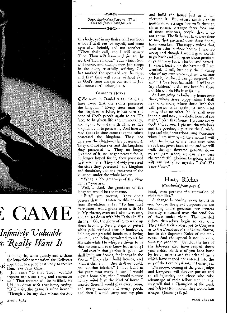# CAME

## *Infinitely Valuable ko Really Want It*

at its depths, when quietly and without the longed-for ostentation the Deliverer jR appeared, to a people unready to receive Him. *The Time Came.* 

Tob said: "O that Thou wouldest appoint me a set time, and remember me." That request will be fulfilled. He laid him down with that hope, saying: "If I wait, the grave is mine house." "Though after my skin worms destroy

L

é,

*Unceasingly time flows on. What does the future hold for us? =EC<* 

<sub>→→→●≪</sub>

this body, yet in my flesh shall I see God: whom I shall see for myself, and mine eyes shall behold, and not another." "Thou shalt call, and I will answer Thee: Thou wilt have a desire to the work of Thine hands." Such a faith God will honor, and though now Job sleeps in the dust, trustfully waiting, God has marked the spot and set the time, and that time will come without fail, as God's time always comes, and Job will come forth triumphant.

#### GLORIOUS HOPES

(We read in Daniel 7:22: "And the time came that the saints possessed the kingdom." Every since man lost the kingdom in Eden, it has been the hope of God's people again to see His face, to be given life and immortality, and again to walk with Him in His kingdom, and to possess it. And here we read that the time came that the saints possessed the kingdom. They not only saw the kingdom; they possessed it. They did not lease or rent the kingdom; they possessed it. They no longer dreamed of it, no longer prayed for it, no longer hoped for it, they possessed it; it was theirs. They not only possessed the city; they possessed. "the kingdom and dominion, and the greatness of the kingdom under the whole heaven."

"What is 'the greatness of the kingdom'?" you ask.

Well, I think the greatness of the kingdom would be the throne.

"But," you protest, "they don't possess that." Listen to this promise from Revelation 3:21: "To him that overcometh will I grant to sit with Me in My throne, even as I also overcame, and am set down with My Father in His throne." Oh, the glory of it, to walk up those broad, glittering steps of purest white gold without fear or hindrance, holding out grateful hands to a loving Saviour, and being permitted to sit by His side while He whispers things to us that no one will ever know but us only!

And over in that glorious kingdom we shall build our homes, for it says in the Word: "They shall build houses, and inhabit them; . . . they shall not build, and another inhabit." I have built in the years past many houses; I would view a home site, then I would picture in my mind just the kind of house I wanted there; I would plan every room, and every window and every porch, and then I would carry out my plan

and build the house just as I had pictured it. But others inhabit those houses now; strange feet walk through those rooms. Strange faces look out of those windows, people that I do not know. The little feet that were dear to me, that pattered over those floors, have vanished. The happy voices that used to echo in those homes I hear no more; and though I would give worlds to go back and live again those precious days, the way back is locked and barred. In vain I beat upon the bars until I am wearied. I call, but only the mocking echo of my own voice replies. I cannot go back, no, but I can go forward. He whom I love best has said: "I will save thy children." I did my best for them and He will do His best for me.

So I am going to build my home over there, where those happy voices I shalt hear once more, where those little feet will patter once again,—a wonderful home, that no other family shall ever inhabit; and now, in wakeful hours of the night, I plan that home. I picture every nook and corner; I picture the windows. and the porches; I picture the furnishings and the decorations, and sometime when I am occupying that home I will take the hands of my little ones who have been given back to me and we will walk through flowered gardens down to the gate where we can view best the wonderful, glorious kingdom, and I will say softly to myself, *"And The Time Came."* 

## Hasty Riches

#### *(Continued from page 5)*

hood, even perhaps the starvation of their families."

A change is coming soon; but it is. •not because the great corporations are becoming more generous nor owners. honestly concerned over the condition of those under them. The hoarded riches themselves begin to cry out. They raise their voices, not to Congress. or to the President of the United States, but to the Supreme Ruler of the universe. And the appeal is not in vain. Says the prophet: "Behold, the hire of the laborers who have reaped down your fields, which is of you kept back by fraud, crieth: and the cries of them which have reaped are entered into the ears of the Lord of sabaoth." James  $5:4$ .

The second coming of the great Judge and Lawgiver will forever put an end to all injustice, and those who take advantage of their fellow men in any way will find a Champion of the weak and helpless from whom they would fain escape. (James  $\zeta$ : 8, 9.)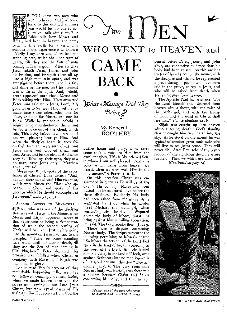$\sum_{\text{two}}$ 

# WHO WENT to HEAVEN and

account of this experience is as follows: "Verily I say unto you, There be some standing here, which shall not taste of death, till they see the Son of man coming in His kingdom. *After six days*  Jesus taketh Peter, James, and John his brother, and bringeth them all up into a high mountain apart, and was transfigured before them: and his face did shine as the sun, and his raiment was white as the light. And, behold, there appeared unto them Moses and Elias talking with Him. Then answered Peter, and said unto Jesus, Lord, it *is*  good for us to be here: if thou wilt, let us make here three tabernacles; one for CAME BACK –<br>•<br>• *What Message Did They Bring?* 

### By Robert L. BOOTHBY

Father honor and glory, when there came such a voice to Him from the excellent glory, This is My beloved Son, in whom I am well pleased. And this voice which came from heaven we heard, when we were with Him in the holy mount." 2 Peter 1: 16-18.

On this occasion Christ was enshrouded in glory as He will be at the day of His coming. Moses had been buried but he appeared alive before the three disciples. Evidently his body had been raised from the grave, as is suggested by Jude when he wrote: "Yet Michael the archangel, when contending with the devil he disputed about the body of Moses, durst not bring against him a railing accusation, but said, The Lord rebuke thee." Jude 9.

There was a dispute concerning Moses's body. The Scripture records the following pertaining to Moses's death: "So Moses the servant of the Lord died there in the land of Moab, according to the word of the Lord. And He buried him *in* a valley in the land of Moab, *over*  against Bethpeor: but no man knoweth of his sepulcher unto this day." Deuteronomy 34:3, 6. The very facts that Moses's body was buried, that there was a dispute between Christ and Satan concerning his body, and that he ap-

 $\rightarrow$  MeCle

*Moses, one of the men who went to heaven and returned to earth* 

peared before Peter, James, and John alive, are conclusive evidence that his body had been raised. As this ancient leader of Israel stood on the mount with the disciples and Christ, he represented a great throng of people who have been laid in the grave, asleep in Jesus, and who will be raised from death when Jesus descends from heaven.

The Apostle Paul has written: "For the Lord himself shall descend from heaven with a shout, with the voice of the Archangel, and with the trump of God: and the dead in Christ shall rise first." I Thessalonians 4: 16,

Elijah was caught up into heaven without seeing death. God's flaming chariot caught him from earth into the sky. As he stood on the mount he was typical of another great multitude who will live to see Jesus come. They will never die. After Paul told of the resurrection of the righteous dead he wrote further, "Then we which are alive and *(Continued on page 14)* 



THE WATCHMAN MAGAZINE

they had lifted up their eyes, they saw no man, save Jesus only." Matthew 16:28; 17: 1-8. Moses and Elijah spoke of the crucifixion of Christ. Luke writes: "And, behold, there talked with Him two men, which were Moses and Elias: who appeared in glory, and spake of His decease which He should accomplish at Jerusalem." Luke 9: 30, 31.

Thee, and one for Moses, and one for Elias. While he yet spake, behold, a bright cloud overshadowed them: and behold a voice out of the cloud, which said, This is My beloved Son, in whom I am well pleased; hear ye Him. And when the disciples heard it, they fell on their face, and were sore afraid. And Jesus came and touched them, and said, Arise, and be not afraid. And when

F YOU knew two men who went to heaven and had come back to this earth, I am sure you wduld be anxious to see them and talk with them. The Bible tells how Moses and Elijah had been in heaven and come back to this earth for a visit. The

SECOND ADVENT IN MINIATURE 4aPeter, who was one of the disciples that was with Jesus in the Mount when Moses and Elijah appeared, wrote of this experience as being a demonstration of what the second coming of Christ will be like. Just before going into the mountain Jesus had said to the disciples, "There be some standing here, which shall not taste of death, till they see the Son of man coming in iHis kingdom." Peter declared this promise was fulfilled when Christ in -company with Moses and Elijah was panoplied in glory.

Let us read Peter's account of that -remarkable happening: "For we have not followed cunningly devised fables, when we made known unto you the power and coming of our Lord Jesus -Christ, but were eyewitnesses of His majesty. For He received from God the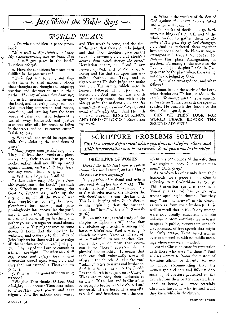*Just What the Bible Says* 

## *WO7CLD PEACE*

19:1:\_16.

1. On what condition is peace promised?

*"If ye walk in My statutes, and keep My commandments, and do them; then . I will give peace* in the land." Leviticus 26: 3-6.

2. Have the conditions for peace been fulfilled in the present age?

"Their feet run to evil, and they make haste to shed innocent blood: their thoughts are thoughts of iniquity; wasting and destruction are in their paths. *The way of peace they know not; . . .* in transgressing and lying against the Lord, and departing away from our God, speaking oppression and revolt, conceiving and uttering from the heart words of falsehood. And judgment is turned away backward, and justice standeth afar off: for truth is fallen in the street, and equity cannot enter." Isaiah 59: 7-14.

المحية

F.

K

5.

ر کي

3. What will the world be expecting while thus violating the conditions of peace?

*"Many people shall go and say, . . .*  They shall beat their swords into plowshares, and their spears into pruninghooks: nation shall not lift up sword against nation, *neither shall they learn war any more."* Isaiah 2:3, 4.

4. Will this hope be fulfilled? *"I have taken away My peace from this people,* saith the Lord." Jeremiah 16:  $\zeta$ . "Proclaim ye this among the Gentiles; *Prepare* war, wake up the mighty men, let all the men of war draw near; let them come up: beat your plowshares into swords, and your pruninghooks into spears: let the weak say, I am strong. Assemble yourselves, and come, all ye heathen, and gather yourselves together round about: thither cause Thy mighty ones to come down, 0 Lord. Let the heathen be wakened, and come up to the valley of Jehoshaphat: for there will I sit to judge all the heathen round about." Joel 3: 9- 12. "The day of the Lord so cometh as a thief in the night. For *when they shall say, Peace and safety; then sudden destruction cometh upon them, . . .* and they shall not escape." I Thessalonians

5: 2, 3.<br>5. What will be the end of the warring nations?

"We give Thee thanks, 0 Lord God Almighty,... because Thou hast taken to Thee Thy great power, and hast reigned. And the nations were angry,

*4* APRIL, 1934 PAGE THIRTEEN

and Thy wrath is come, and the time of the dead, that they should be judged, and that Thou shouldest give reward unto Thy servants, . . . and *shouldest destroy them which destroy the earth."*  Revelation 11:17, 18. "And I saw heaven opened, and behold a white horse; and He that sat upon him was called Faithful and True, and in righteousness He doth judge and make war. . . . The armies which were in heaven followed Him upon white horses. . . . And out of His mouth goeth a sharp sword, that with it He should smite the nations: . . . and *He treadeth the winepress of the fierceness and wrath of Almighty God.* And He bath . a name written, KING OF KINGS, AND LORD OF LORDS." Revelation

6. What is the warfare of the Son of God against the angry nations called and when will it occur?

"The spirits of devils . . . go forth unto the kings of the earth and of the whole world, to gather them to *the battle of that great day of God Almighty. . . .* And he gathered them together into a place called in the Hebrew tongue *drmageddon."* Revelation 16:14, 16. *Note.—* This place Armageddon, in northern Palestine, is the same as the "valley of Jehoshaphat" said in Joel 3: 9-12 to be the place where the warring nations are judged by God.

7. Who wins Armageddon, and what follows?

"Come, behold the works of the Lord, what desolations He hath made in the earth. *He maketh wars to cease unto the end of the earth;* He breaketh the spear in sunder; He burneth the chariot in the fire." Psalm 46: 8, 9.

CAN WE THEN LOOK FOR WORLD PEACE BEFORE THE SECOND ADVENT?

SCRIPTURE PROBLEMS SOLVED *This is a service department where questions on religion, ethics, and Bible interpretation will be answered. Send questions to the editor.* 

#### OBEDIENCE OF WOMEN

*Doesn't the Bible teach that a woman should obey her husband, and ask him if she wants to learn anything?* 

The relation of husband and wife is discussed in Ephesians 5:21-33. The words "submit" and "reverence" are used with reference to the attitude the wife should assume toward the husband. This is in keeping with God's dictum in the beginning that the husband should be "head" of the wife. (Genesis 3: 16.)

But an unbiased, careful study of the chapter in Ephesians will show that the relationship intended is among and between Christians. Paul is writing to church members. Verse 21 tells all of us to "submit" to one another. Certainly this cannot mean that everyone is to "boss" everyone else, a physical impossibility. It means that each one shall voluntarily serve all others in the church. So also the word "submit" refers to wives and husbands. And it is to be "as unto the Lord," "as the church is subject unto Christ." Wives are to obey their husbands *in the Lord.* If the husband is Christlike, or trying, to be, he is to be obeyed and respected. If the husband is ungodly, tyranical, and interferes with the conscientious convictions of the wife, then "we ought to obey God rather than men."  $(Acts 5:29.)$ 

As to wives learning only from their husbands, we suppose the question is referring to I Corinthians 14: 34, 35. This instruction (as also that in I Timothy  $2:11$ ,  $12)$  has to do with women speaking in church. But they may "learn in silence" in the church as well as from their husbands. It is well to recall that in Paul's day women were not usually educated, and the universal custom was that they were not to speak in public, however unjust such a suppression of free speech that might be. Only brazen, ill-mannered women ever attempted to address public meetings where men were included.

Lest the Christian cause its reputation with those who were "without," Paul advises women to follow the custom of feminine silence in church. He was no doubt recommending that the women get a clearer and fuller understanding of matters presented in the church from their better-educated husbands at home, who were certainly Christian husbands who learned what they knew while in the church.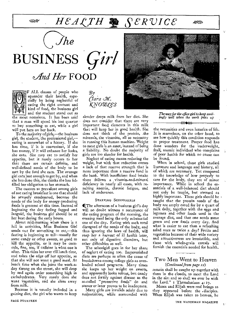بوديده

# HEACTH **A** SERVICE

 $\int$ *he* 

BUSINESS Girl *Mind Her* FOOD



F ALL classes of people who squander their health, especially by being neglectful of eating the right amount and kind of food, the business girl *and* the *student stand out* as the most notorious. It has been said

that a man will spend his last quarter to buy something to eat, while a girl will put hers on her back.

To the majority of girls,—the business girl, the student, the professional girl, eating is somewhat of a luxury. If she has time, if it is convenient, if she has money, if it will enhance her looks, she eats. She may eat to satisfy her appetite, but it rarely occurs to her that there are certain definite, and well-defined needs of the body to be met by the food she eats. The average girl eats just enough to get by, and when she has done this, she thinks she has fulfilled her obligation to her stomach.

The custom so prevalent among girls of not eating breakfast is one that should be severely condemned, because the needs of the body for energy-producing foods is greatest at this time. Instead of beginning the day feeling fagged and languid, the *business* girl should be at her best during the early hours.

About mid-morning when there is a lull in activities, Miss Business Girl sends out for something to eat,-this fasting is beginning to tell—usually *for*  some candy or other sweets, so good to kill the appetite, or it may be cococola, fine, too, if caffeine is what one is after. This tides her over till lunch time, and takes the edge off her appetite, so that she will not want a good meal. At lunch time when she joins the work-aday throng on the street, she will drop by and again order something high in carbohydrates. Very rarely does she want vegetables, and she shies away from milk.

Because it is usually included in a gaining diet, the girl who wants to keep  $\mathcal{B}y$ *Clara* M. *kArozaces* 

slender drops milk from her diet. She does not consider that there are very important food elements in this milk that will keep her in good health. She does not think *of* the protein, the minerals, the vitamins, all so necessary in running this human machine. Weight to most girls is an asset, instead of being a liability. No doubt the majority of girls are too slender for health.

Neglect of eating means reducing the weight, but with that reduction comes a lack of that reserve strength that is more important than a reserve fund in the bank. With insufficient food intake there follows a ,vitamin-and-mineral deficiency in nearly all cases, with resulting anemia, chronic fatigue, and lack of endurance.

#### STARVING SCHOOLGIRLS

([The afternoon of a business girl's day will no doubt witness a recurrence of the eating program of the morning, the evening meal being the only substantial one of the day. Eating with such total disregard of the needs of the body, and thus ignoring the laws of health, will reap her a harvest *of ill* health later, not only of digestive disorders, but other difficulties as well.

The schoolgirl goes in for her share of neglect of eating too. Impoverished diets are perhaps as often the cause of breakdowns among college girls as overloaded school programs. Many times she keeps up her weight on sweets, and apparently looks robust, but candy does not fortify against disease as the so-called "protective foods" do and sooner or later proves to be inadequate.

Many girls are invalids solely due to malnutrition, while surrounded with



*The way for the office girl to keep smil-ingly well when the work piles up -MEC<* 

∕≪ই≫

the necessities and even luxuries of life. It is marvelous, on the other hand, to see how quickly this condition responds to proper treatment. Proper food has done wonders for the underweight, frail, anemic individual who complains *of poor* health *for* which *no* cause *can*  be found,

When in school, these girls studied literature and language and history, all of which are necessary. Yet compared to the knowledge of how properly to care for the body, they are of minor importance. While in school the essentials of a well-balanced diet should not only be taught, but stressed as highly important. These girls should be . taught that the protein needs of the body are amply cared for by a quart of milk daily, together with the eggs and legumes and other foods used in the average diet, and that one needs some green and raw foods every day. And what is easier to eat than a refreshing salad once or twice a day? Fruits and vegetables because of their wide variety and attractiveness are irresistible, and these with whole-grain cereals will furnish the essentials needed for health.

#### Two Men Went to Heaven *(Continued from page 12)*

remain shall be caught up together with them in the clouds, to meet the Lord in the air: and so shall we ever be with the Lord."  $\bf{1}$  Thessalonians  $\bf{4}: 17$ .

Moses and Elijah were real beings as they appeared' before the .disciples. When Elijah was taken to heaven, he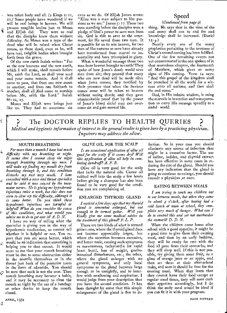Was taken body and all. (2 Kings 2: ir, 12.) Some people have wondered if we will be real beings in heaven. We will possess tangible bodies just as Moses

するき あまみち ないあいし ひとくじょう アープイ

and Elijah did. They were so real that the disciples knew them without difficulty. As Moses was a type of the dead who will be raised when Christ comes, so these dead, even as he, will have real, tangible bodies when brought forth from the grave.

Of the new earth Isaiah writes: "For as the new heavens and the new earth, which I will make, shall remain before Me, saith the Lord, so shall your seed and your name remain. And it shall come to pass, that from one new moon to another, and from one Sabbath to another, shall all *flesh* come to worship another, shall all *flesh* come to worship<br>before Me, saith the Lord." Isaiah 66: 22, 23.

Moses and Elijah were beings just like us. They had to overcome sin

even as we do. Of Elijah James wrote: "Elias was a man subject to like passions as we are." James 5: 17. These two men standing before the disciples were a pledge of God's power to save men from sin. God is able to save to the uttermost, for He saved those two men. It is possible for us to win heaven, for two men of like natures as ours have already been transformed from mortal to immortality and have triumphed in glory.

What a wonderful message those two men from heaven brought to earth! They spoke of how Jesus's death would save men from sin; they proved that many who are now dead will be made alive when Jesus comes; they testified by their presence that when the Saviour comes some will be taken to heaven without seeing death; and they gave unmistakable proof that by the power of Jesus's blood sinful man can overcome sin and gain eternal life.

### Speed

#### *(Continued from page 9)*

thing. He says that in the time of the end many shall run to and fro and knowledge shall be increased. (Daniel I2: 4.)

Nearly every one of the many prophecies pertaining to the nearness of Christ's second coming has been fulfilled. One of the few remaining events not yet consummated is the one spoken of in that marvelous chapter, the fourteenth of Matthew, which gives so many signs of His coming. Verse 14 says: "And this gospel of the kingdom shall be preached in all the world for a witness unto all nations; and then shall the end come."

God, in His infinite wisdom, is using the marvels in invention and transportation to carry His message speedily to a sinful world.

The DOCTOR REPLIES TO HEALTH QUERIES *Medical and hygienic information of interest to the general reader is given here by a practicing physician. Inquirers may address the editor.* 

#### MOUTH BREATHING

*For more than a month I have had much 4difficulty with my breathing at night. It seems that I cannot sleep the night through breathing through my nose. I will wake up finding my mouth dry from breathing through it, and this condition disturbs my rest very much. I have consulted with a nose and throat specialist and he said it was caused by the vasomotor nerves. He is giving me hypodermic injections twice a week, but this does not seem to clear up the difficulty, although it is some better. Do you think these hypodermic injections are harmful or helpful? What do you consider the cause of this condition, and what would you advise me to do to get over it? A. D. N.* 

I have no way of telling what the specialist is giving you in the way of hypodermic medication, so cannot tell whether it is helpful or not, You report that you are some better, which would be an indication that something is helping you to that extent. It would seem to me that your mouth breathing must be due to some obstruction either in the nostrils themselves or in the throat just back of the posterior nares in the form of adenoids. You should be sure that such is not the case. Then mouth breathing may become a habit, and it may be necessary to close the mouth at night by the use of a bandage or other device to keep the mouth closed.

#### OLIVE OIL FOR THE SCALP

*Is an occasional application of olive oil good for the scalp if it seems dry? Will this application of olive oil help in combating dandruff? Z. F. B.* 

Olive oil is very good for the scalp that lacks the natural oils. Castor oil rubbed well into the scalp a few hours before giving a shampoo has also been found to be very good for the condition you are complaining of.

#### ENLARGED THYROID GLAND

*I noticed a f ew days ago that my thyroid gland is somewhat enlarged, but not enough to be termed goiter. Will you kindly give me some medical advice in the treatment of this gland? F. L. P.* 

There are two kinds of what is termed goiter: one, where the thyroid gland does not become appreciably larger, but where the secretion becomes excessive, and hence toxic, causing such symptoms as nervousness, tachycardia (or rapid heart beat), loss of weight, gastrointestinal disturbances, etc.; the other, where the gland enlarges with no general symptoms, and only local symptoms as the gland becomes large enough to be unsightly, and to interfere with swallowing and respiration. I would judge from your description that you have, the second condition. It has been thought by some that this simple enlargement of the gland is due to in-

fection. So in your case you should eliminate any source of infection tha might be a causative factor. The use of iodine, iodides, and thyroid extract has been effective in some cases in re ducing the size of the gland. Should you have any indication that the gland is going to continue to enlarge, you should consult a physician .at once.

#### EATING BETWEEN MEALS

*I am trying to teach my children not to eat between meals, but when they come in about 4 o'clock, after having had a cold lunch at noon at school, they complain very much of hunger. What can I do to control this and yet not overburden the stomach? D. D. N.* 

When the children come home after school with a good appetite, it might be a good time to give them their evening meal, and then by an early bedtime, they will be ready for rest with the food all gone from their stomachs, and they will sleep well. If-this is not possible, try giving them some fruit, as a glass of orange juice or an apple, and then set them at their after-school tasks, and soon it should be time for the evening meal. When they learn that they cannot have their food except at regular meal times, they will soon curb their appetites accordingly, but I do think the early meal would be ideal if you can fit it in with your program.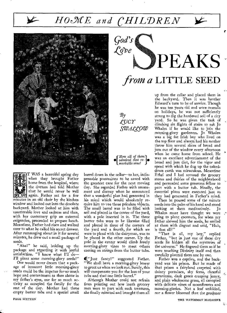# HOME and CHILDREN

*God's* 

*OCO) e* 



 $By$ *cucr szemcccow* 

*f How all of them admired that re- • markable vinel*  •

T WAS a beautiful spring day when they brought Father home from the hospital, where the doctors had told Mother that he would *never* be well again. Father sat for a few minutes in an old chair by the kitchen window and looked out into the desolate backyard. Mother looked at him with unutterable love and sadness and then, with her customary grip on external exigencies, proceeded to prepare lunch. *Meantime,* Father had *risen* and walked over to what he called his secret drawer. After rummaging about in it for several minutes, he drew out a small package of seeds.

"Aha!" he said, holding up the package and regarding it with joyful satisfaction. "I know what I'll do— I'll plant some *morning-glory* seeds!"

One would never dream that a package of innocent little morning-glory seeds could be the impetus for so much hope and contentment as then shone in my father's eyes, nor for so much activity as occupied the family for the rest of the day. Mother had three empty butter tubs and a special small

barrel down in the cellar—to her, indispensable possessions to be saved with the greatest care for the next moving day. She regarded Father with amazement and dismay when he announced that a wonderful plan had generated in his mind which would absolutely require him to use those priceless objects. The small barrel was to be filled with soil and placed in the center of the yard, with a pole inserted in it. The three butter tubs were to be likewise filled and placed in three of the corners of the yard and a fourth, for which we were to plead with the dairyman, was to be placed in the other corner. Up the pole *in* the center would climb lovely morning-glory vines to meet others coming on strings from the butter tubs.

4(1" Just *fancy!" suggested* Father. "We shall have a morning-glory bower to greet us when we look out. Surely, this will compensate you for the loss of your tubs and that one little barrel."

Although Mother could not refrain from pointing out how loath grocery men were to part with such treasures, she finally relen ted and brought them all

up from the cellar and placed them in the backyard. Then it was brother Edward's turn to be of service. Though he was ten years old and wore overalls on holidays, he was not sufficiently strong to dig the hardened soil of a city yard. So he was given the task of climbing six flights of stairs to ask Jo Whalen if he would like to join the morning-glory gardeners. Jo Whalen was a big fat Irish boy who lived on the top floor and always had his mother throw him several slices of bread and jam out of the window every afternoon when he came home from school. He was an excellent advertisement of the bread and jam diet, for the vigor and speed with which he dug up the cakeddown earth was miraculous. Meantime Ethel and I had scoured the grocery stores and dairies of the neighborhood and persuaded some generous fellow to part with a butter tub. Finally, the essential plans were executed just as they had generated in Father's mind.

**DEAKS** 

*from a* LITTLE SEED

Then he poured some of the minute seeds into the palm of his hand and stood looking at them meditatively. Jo Whalen must have thought we were going to plant coconuts, for when my father showed him the seeds, he smiled at them with disgust and said, "Huh, is that all?"

"That is all, my boy," replied Father, "but in just one of these dry seeds lie hidden all the mysteries of the universe." He fingered them as if he were touching Divinity itself and then carefully planted them one by one.

Father was a captive, and the backyard was his prison. But he made of that prison a fairyland carpeted with dainty portulaca, shy ferns, cheerful *geraniums,* dark *green creeping* jenny, and plain wholesome grass, all canopied with delicate vines of moonflowers and morning-glories. Not a leaf unfolded, *nor a* flower bloomed that the gardener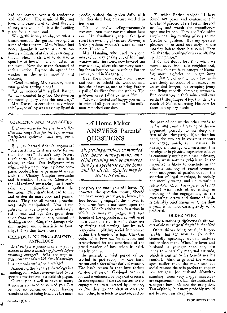had not hovered over with tenderness and affection. The magic of life, and love, and beauty had touched that bit of city soil and made it a fit dwelling • place for a human soul.

Wonderful it was to observe what a transformation this garden wrought in some of the tenants. Mrs. Whalen had never thought it worth while to run down six flights of stairs with an empty tin can when all she had to do was to open her kitchen window and hurl it into the yard. Now she never dreamed of such an action. Instead, she opened her window in the early morning and shouted,

"Good morning, Mr. Swallow, how's your garden getting along ?"

经

罩

 $\rightarrow$ 

"It is wonderful," replied Father. "I have counted fifty-two blossoms on the morning-glory vines this morning."

Mrs. Russell, a corpulent lady whose chief source of joy was a skinny Spanish

#### COSMETICS AND MUSTACHES

*Is it any worse for the girls to use lipstick and rouge than for the boys to wear "misplaced eyebrows" and long burnsides?* 

Eve has learned Adam's argument! "She ate it first. Is it any worse for me 4. than for her?" It isn't any better, that's sure. The comparison is a little askew, at that. Our indignant miss might .with greater cogency have compared bobbed hair or permanent waves with the Charley Chaplin mustache and burnsides. I. am no admirer of the abbreviated mustache, but I can't raise any indignation against the burnsides. They don't look bad to me, and neither do most bobs and permanents. They are all natural growths, moderately manipulated. Now if the girls can manage to produce moderately red cheeks and lips that grow their color from the inside out, instead of daubing on something that damages the skin texture and is inartistic to boot, why, I'll say they have a case.

#### FRIENDS; LONG ENGAGEMENTS; ASTROLOGY

*Is it best for a young man or a young woman to have a number of friends before ,becoming engaged? Why are long engagements not advisable? Should astrology have any influence upon marriage?* 

Answering the last first: Astrology is a humbug, and whoever gives heed to its ã., specious revelations is a childish pagan. Certainly it is well to have as many friends as you need or as need you. But be not so concerned about having *friends as about being friendly;* the more

Ź

poodle, visited the 'garden daily with the cherished long creature nestled in her arms.

"No, no, poodly darling—mommy's treasure—you must not run about here over Mr. Swallow's garden. See how sweet the morning-glories are! Mommy's little precious wouldn't want to hurt them, I'm sure."

Mrs. Hanging, who used to spend most of her day gazing out of her front window into the street, now favored the rear window, where she sat every morning for an hour or two, watching Father putter round in his garden.

Even the milkman took a run in now and then to behold the wonders and beauties of nature, and to bring Father a pail of fertilizer from the stables. The gardener never failed to thank him.

"How contented and happy you seem, in spite of all your troubles," the milkman remarked one day.

 $\mathcal A$  Home Maker ANSWERS Parents' **QUESTIONS** 

—no⊷

*Perplexing questions on married life, home management, and child training will be answered here by a specialist on the home and its ideals. Queries may be sent to the editor.* 

you give, the more you will have. If, however, the question means, Should one have many sweethearts, lovers, before becoming engaged, the answer is, No. True love is not worn upon the sleeve. Middle adolescence is a time in which to measure, judge, and test friends of the opposite sex as well as of one's own; but this is to be done not by flirting and petting, but by selfrespecting, uplifting social intercourse within the bounds of a high Christian code. Then love will be ennobled and strengthened for the experience of the grand passion of love when it legitimately comes.

In general, a brief period of betrothal is preferable, for one basic reason and either of two derived reasons. The basic reason is that love thrives on due-expression.-Conjugal love calls for and is enhanced by physical caresses. In consequence, if the two parties to the engagement are separated by distance, so that they do not often or ever see each other, love *tends to weaken, and on* 

To which Father replied: "I have found my peace and contentment in this bit of garden. Here I sit in the cool evening and watch the moonflowers open one by one. They are little white angels chanting evening orisons to the Creator of gardens. But my greatest pleasure is to steal out early in the morning before there is a sound. Then it is that the morning-glories are offering up their praise."

I do not doubt but that when we moved away from this neighborhood, and the delicate fairy canopy of blooming morning-glories no longer hung over that bit of earth, not a few souls were dimly conscious of a vacancy, an unsatisfied hunger, for creeping jenny and living tendrils climbing upwards. But somewhere in their minds will ever be that little glimpse of joy, that delicate touch of God manifesting His love for them in tiny dry deeds.

a-

the part of one or the other tends to be lost and cause a breaking of the engagement, possibly to the deep distress *of* the other party. If, on the other hand, the two are in constant contact and engage much, as in natural, in kissing, embracing, and caressing, this indulgence in physical expression of love is constantly urging to closer intimacy, and in weak natures (which are in the majority) is likely to conclude in the ultimate intimacy of sexual congress. Such indulgence of passion outside the sanction of legal marriage, is socially and morally wrong, and incurs various retribution. Often the experience brings disgust with each other, ending in breaking of the engagement, to the everlasting sorrow and shame of both. A tolerably brief engagement, less than a year, is in most cases greatly to be preferred.

#### OLDER WIFE

*Does it make any difference in the success of the marriage if the girl is the older?* 

Other things being equal, it is preferable that the man be the older. Generally speaking, woman matures earlier than man. When her lover and husband is younger than she, she tends to a partially maternal attitude, which is neither to his benefit nor his comfort. Also, in general the woman ages earlier than the man; and for social reasons the wife prefers to appear younger than her husband. Notwithstanding, some very happy marriages are experienced in which the husband is younger; but such are the exception. You might be, but more probably would not be, such *an* exception.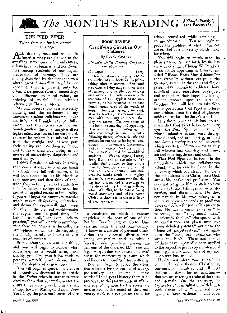# *The* MONTH'S READING *{Thought-Provok-}*

#### THE PIED PIPER

Taken from the book reviewed on this page

ALL thinking men and women in<br>A America today are alarmed at the America today are alarmed at the appalling prevalence of drunkenness, debauchery, lawlessness, and licentiousness among students of our higher institutions of learning. They are doubly disturbed by the fact that even where gross immorality itself is not apparent, there is present, only too often, a dangerous form of unmotality: an indifference to moral values, an ordering of youthful lives without reference to Christian ideals.

My own observations as a university student, and the testimony of my university student collaborators, make me fully, and I might say painfully, aware that these fears are not unfounded—that the only tangible effect higher education has had on vast multitudes of its seekers is to mislead them from the straight and narrow path their rearing prompts them to follow, and to leave them floundering in the morass of uncertainty, skepticism, and moral laxity.

I think I make no mistake in saying that every student into whose hands this book may fall will realize, if he will look about him—at his friends as they now are, and then think of them when they were high school students that for many, a college education has meant an applied course in immorality. If you will forget the campus vernacular which masks dissipations, debauches, and downright orgies—all that passes for vice in the civilized world—under the euphemisms "a good time," "a lark," "a• thrill," or even "self-expression," you will clearly comprehend that there are poisons in the collegiate atmosphere which are disintegrating the minds, morals, and souls of vast numbers of students.

Stop a minute, or an hour, and think, and you will begin to wonder what forces are, as it would seem, irresistibly propelling your fellow students perhaps yourself, down, down, down into the depths of degradation.

You will begin to question the cause of a condition discussed in an article in the *Forum* wherein statistics were cited to show that venereal diseases are many times mote prevalent in a small college town in Michigan than in New York City, the presumed vortex of vice

#### **BOOK REVIEW**  Crucifying Christ in Our Colleges

*By* DAN W. GILBERT *Alexander Duffer Printing Company,* 

*San Francisco* 

 $260 \text{ pages}$   $\text{\$1.25}$ 

Christian America owes a debt to the author of this book for his painstaking effort to ascertain first-hand just what is being taught in our seats of learning, and its effect on religion and morals. In collaboration with students of four typical State universities, he has reported in intimate detail actual cases of the wreck of human character wrought by rank atheistic teaching. Many universities reek with teachings so liberal that they are rotten. The revelations of this book are amazing and appalling. It is no ranting fulmination against advanced thought in education, but a following through of materialistic and godless instruction to its logical conclusion in drunkenness, lawlessness, and licentiousness. And the exhibits from A to Z are real flesh-and-blood students — Wayne, Agnes, Lester, Jean, Ruth, and all the others. We predict that a sober reading of the book by American parents of actual ' and would-be students in our universities would result in a mighty exodus from these character-debauching institutions, and a crowding to the doors of the Christian colleges which still cling to the old-fashioned moral *standards and which count*  Christian character as the only hope of a collapsing civilization.

—a condition on which a veteran physician in the seat of one of the Pacific Coast's largest State Universities made this sad commentary: "I know as a matter of personal observation that venereal diseases rage among university students with a ferocity only paralleled among the denizens of the underworld." You will begin to question the causes of a mad quest for momentary pleasure which is oblivious to unending future suffering.

You will begin to probe the situation which a former warden of a large penitentiary has deplored in these words: "In all penal history there is no precedent to the present state of affairs, whereby young men by the scores are interrupted in the midst of their university work to serve prison terms for

crimes committed while attaining a college education." You will begin to probe the problem of what influences are exerted at a university which make for crime.

You will begin to puzzle over the plain statements—set forth by no less an authority than Charles W. Paddock in an article appearing in *Collier's* entitled "Booze Beats Our Athletes" that virtually without exception the greatest, as well as the rank and file, of present-day collegiate athletes have sacrificed their marvelous physiques, and with them their hopes for lasting athletic renown, upon the altar of Bacchus. You will begin to ask: Who is this portentous Pied Piper who lures our athletes from the field of glorious achievement into the Satyr's train?

It is the purpose of this book to unmask that Pied Piper before your very eyes—the Pied Piper to the tune of whose seductive strains vast throngs have danced, and are dancing, in blind and riotous revelry to the hell on earth which awaits his followers—the earthly hell wherein lurk carnality and crime, sin and suffering, disease and death.

That Pied Piper can be found in the universities which my collaborators attend, and he can be found in the university which you attend. For he is the ubiquitous anti-Christ, anti-God, anti-Bible, anti-moral professor. You may not recognize him as such because he is a virtuoso at disingenuousness, deception, and dissimulation. He does not parade in his true colors, as a seductive siren who sends to perdition those who follow the path of his prescription. No! He promenades as an "intellectual," an "enlightened man," a "scientific thinker," who speaks with an omniscience not given unto our "poor deluded parents," nor unto the "fanatical gospel-seekers," nor again unto the "benighted barbarians who wrote the Bible." These and similar epithets have repeatedly been applied • to the respective parties by a professor of sociology under whom one of my collaborators has studied.

He does not inform you—as he leads you afield of orthodox Christianity, conventional morality, and all that civilization stands for and sanctions that you are entering a realm of darkness and despair. On the contrary, he captivates your imagination with iridescent visions of a "humanized" religion, a "more esthetic" moral code,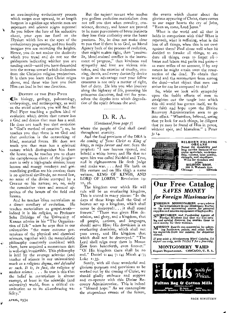an awe-inspiring evolutionary process which surges ever upward, to at length burgeon in a golden age wherein men are supermen and science reigns supreme! As you follow the lure of his seductive chant, your eyes are fixed on the Elysium which lies at the apex of the evolutionary progression, and you fondly imagine you are ascending the heights. Hence, you do not realize the declivity which you tread and do not see the guideposts indicating whither you are tending until—until you have descended into the morass toward which declension from the Christian religion predestines. It is then you learn that Christ reigns above, and those who lure you from Him can lead in but one direction.

#### DESTINY OF THE PIED PIPER

Alin biology, geology, paleontology, embryology, and anthropology, as well as the social sciences, you will find the Pied Piper teaching a godless kind of evolution which denies that nature has 6 a God and denies that man has a soul. He does not teach you that evolution is "God's method of creation"; no, he teaches you that there is no God and that evolution is the outworking of blind, material forces. He does not teach you that man has a spiritual nature which distinguishes him from the brute; no, he teaches you to chant the cacophonous chant of the jungle man is only a high-grade simian; lousy lemurs and mangy monkeys and gormandizing gorillas are his cousins; there is no spiritual similitude, no moral law, no sense of the divine stamped by a Creator on his nature; no, no, only the cumulative vices and sensual appetites of the beasts of the field and forests.

K.

And he teaches crass materialism as a direct corollary of evolution. He teaches materialism as gospel-truth indeed it is his *religion,* as Professor Seba Eldridge of the University of Kansas admits in his "The Organization of Life" when he says that in our universities "the more extreme pretensions of the physical and chemical sciences, together with the materialistic philosophy commonly combined with them, have acquired a momentum that is well-nigh irresistible. This philosophy is held by the average scientist (and teacher of science in our universities) much as a *religious dogma, and defended as such. It is, in fact, the religion of modern science. . . .* So true is this that the belief in materialism is almost exempt, at least in the scientific (and university) world, from a critical examination as to its all-embracing validity."

But the sapient savant who teaches you godless evolution-materialism does not tell you that when morality, conscience, decency, and honor are proved to be mere perversions of brute instincts they lose their authority over the baser passions. No, he does not make clear to you that if there is no God, no Moral Agency back of the process of evolution, then might makes right, then "passionlit, blood-stained conflict is the instrument of progress," then kindness and sympathy and love are vicious mistakes, and the exercise of cruelty, cunning, deceit, and every dastardly device to gain an advantage over your fellow creatures is not only a matter of right, but of duty. He lets you who journey along the highway of life, parroting his poisonous doctrines, find out for yourselves the depths into which degradation of the spirit debases the soul.

### D. R. A.

#### *(Continued from page* 7)

where the people of God shall dwell throughout eternity.

And the final provision of the DRA is *the coming of Iesus Christ as King of kings, to reign forever and ever.* Says the prophet: "I saw heaven opened, and behold a white horse; and He that sat upon him was called Faithful and True, and in righteousness He doth judge and make war. .. . And He hath on His vesture and on His thigh a name written, KING OF KINGS, AND LORD OF LORDS." Revelation 19: 11, 16.

The kingdom over which He will rule will be an everlasting kingdom, This is stated in many places: "In the days of these kings shall the God of heaven set up a kingdom, which shall never be destroyed:... it shall stand forever." "There was given Him dominion, and glory, and a kingdom, that all people, nations, and languages, should serve Him: His dominion is an everlasting dominion, which shall not pass away, and His kingdom that which shall not be destroyed." "The Lord shall reign over them in Mount Zion from henceforth, even forever." "Of His kingdom there shall be no end." Daniel 2: 44; 7: 14; Micah 4: 7; Luke 1:33.

Surely, with all these wonderful and glorious purposes and provisions to be worked out by the coming of Christ, we should gladly embrace and support and co-operate with this Divine Recovery Administration. This is indeed a "blessed hope." As we contemplate the stupendous events of the future,

the events which cluster about the glorious appearing of Christ, there comes to our eager hearts the cry of John, "Even so, come, Lord Jesus."

What is the world and all that it holds in comparison with this? What is reproach, what is suffering, what is the loss of all things, when this is set ovet against them? Paul chose well when he decided to forsake all things, to em dure all things, even to forget all- losses and labors and perils and pains as mere trifles of no account, if by any means he might attain unto the resurrection of the dead. To obtain that world and the resurrection from among the dead—what object that men can strive for can be compared to this?

So, while we look with sympathy upon the feeble efforts of men to straighten out the tangle into which this old world has gotten itself, we fix our faith and hope upon the Divine Recovery Administration soon to go into effect. "Wherefore, beloved, seeing that ye look for such things, be diligent that ye may be found of Him in peace, without spot, and blameless." 2 Peter 3: 14.



BILHORN FOLDING<br>
ORGANS<br>
Noted for durability and<br>
long service because of su-<br>
long service because of su-<br>
perior materials, workman-<br>
ship, volume, tone quality,<br>
Write for circulars and

## prices.<br>
BILHORN BROS.<br>
306 S. Wabash Ave.<br>
Chicago - Illinois

## Our Free Catalog *SAVES MONEY for Foreign Missionaries*

**FOREIGN MISSIONARIES** everywhere<br> **F** have confidence in our Missionary Bureau<br>
as the most economical source for personal<br>
supplies and mission equipment of highquality.

SECRETARIES and Parchasing Agents of Foreign Missions find that our free cata-<br>log and special discount list enables them to<br>save money for their stations.

MISSION Boards can economize by select-ing hardware, paints, and other build-ing materials from our catalog, for shipment abroad.

*If you wish* a *Montgomery Ward Catalog, for export use only, write TODAY for a free copy,* 

**MONTGOMERY WARD**  Export Department. CHICAGO, U. S. A.